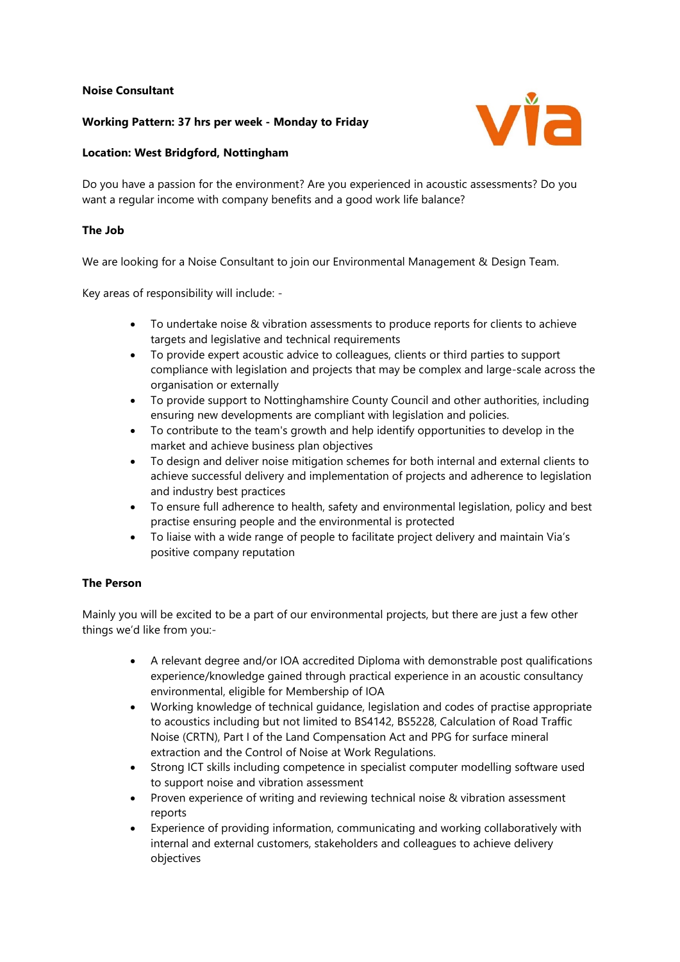# **Noise Consultant**

# **Working Pattern: 37 hrs per week - Monday to Friday**



### **Location: West Bridgford, Nottingham**

Do you have a passion for the environment? Are you experienced in acoustic assessments? Do you want a regular income with company benefits and a good work life balance?

#### **The Job**

We are looking for a Noise Consultant to join our Environmental Management & Design Team.

Key areas of responsibility will include: -

- To undertake noise & vibration assessments to produce reports for clients to achieve targets and legislative and technical requirements
- To provide expert acoustic advice to colleagues, clients or third parties to support compliance with legislation and projects that may be complex and large-scale across the organisation or externally
- To provide support to Nottinghamshire County Council and other authorities, including ensuring new developments are compliant with legislation and policies.
- To contribute to the team's growth and help identify opportunities to develop in the market and achieve business plan objectives
- To design and deliver noise mitigation schemes for both internal and external clients to achieve successful delivery and implementation of projects and adherence to legislation and industry best practices
- To ensure full adherence to health, safety and environmental legislation, policy and best practise ensuring people and the environmental is protected
- To liaise with a wide range of people to facilitate project delivery and maintain Via's positive company reputation

### **The Person**

Mainly you will be excited to be a part of our environmental projects, but there are just a few other things we'd like from you:-

- A relevant degree and/or IOA accredited Diploma with demonstrable post qualifications experience/knowledge gained through practical experience in an acoustic consultancy environmental, eligible for Membership of IOA
- Working knowledge of technical guidance, legislation and codes of practise appropriate to acoustics including but not limited to BS4142, BS5228, Calculation of Road Traffic Noise (CRTN), Part I of the Land Compensation Act and PPG for surface mineral extraction and the Control of Noise at Work Regulations.
- Strong ICT skills including competence in specialist computer modelling software used to support noise and vibration assessment
- Proven experience of writing and reviewing technical noise & vibration assessment reports
- Experience of providing information, communicating and working collaboratively with internal and external customers, stakeholders and colleagues to achieve delivery objectives